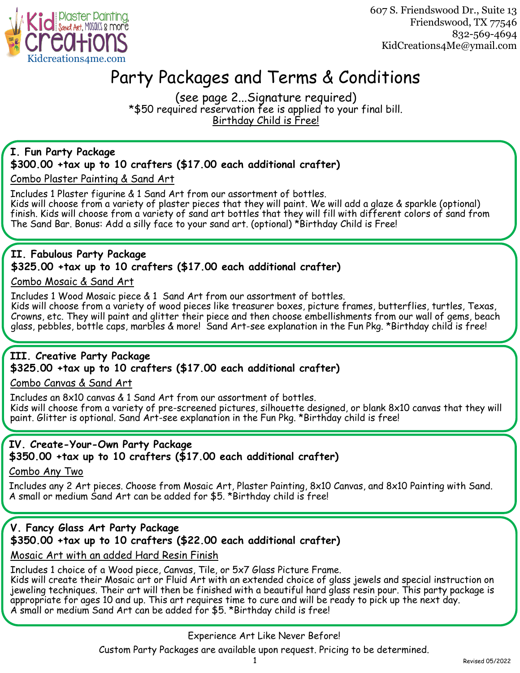

607 S. Friendswood Dr., Suite 13 Friendswood, TX 77546 832-569-4694 KidCreations4Me@ymail.com

## Party Packages and Terms & Conditions

(see page 2...Signature required) \*\$50 required reservation fee is applied to your final bill. Birthday Child is Free!

### **I. Fun Party Package**

#### **\$300.00 +tax up to 10 crafters (\$17.00 each additional crafter)**

Combo Plaster Painting & Sand Art

Includes 1 Plaster figurine & 1 Sand Art from our assortment of bottles. Kids will choose from a variety of plaster pieces that they will paint. We will add a glaze & sparkle (optional) finish. Kids will choose from a variety of sand art bottles that they will fill with different colors of sand from The Sand Bar. Bonus: Add a silly face to your sand art. (optional) \*Birthday Child is Free!

## **II. Fabulous Party Package \$325.00 +tax up to 10 crafters (\$17.00 each additional crafter)**

#### Combo Mosaic & Sand Art

Includes 1 Wood Mosaic piece & 1 Sand Art from our assortment of bottles.

Kids will choose from a variety of wood pieces like treasurer boxes, picture frames, butterflies, turtles, Texas, Crowns, etc. They will paint and glitter their piece and then choose embellishments from our wall of gems, beach glass, pebbles, bottle caps, marbles & more! Sand Art-see explanation in the Fun Pkg. \*Birthday child is free!

#### **III. Creative Party Package \$325.00 +tax up to 10 crafters (\$17.00 each additional crafter)**

Combo Canvas & Sand Art

Includes an 8x10 canvas & 1 Sand Art from our assortment of bottles. Kids will choose from a variety of pre-screened pictures, silhouette designed, or blank 8x10 canvas that they will paint. Glitter is optional. Sand Art-see explanation in the Fun Pkg. \*Birthday child is free!

#### **IV. Create-Your-Own Party Package \$350.00 +tax up to 10 crafters (\$17.00 each additional crafter)**

Combo Any Two

Includes any 2 Art pieces. Choose from Mosaic Art, Plaster Painting, 8x10 Canvas, and 8x10 Painting with Sand. A small or medium Sand Art can be added for \$5. \*Birthday child is free!

## **V. Fancy Glass Art Party Package \$350.00 +tax up to 10 crafters (\$22.00 each additional crafter)**

Mosaic Art with an added Hard Resin Finish

Includes 1 choice of a Wood piece, Canvas, Tile, or 5x7 Glass Picture Frame.

Kids will create their Mosaic art or Fluid Art with an extended choice of glass jewels and special instruction on jeweling techniques. Their art will then be finished with a beautiful hard glass resin pour. This party package is appropriate for ages 10 and up. This art requires time to cure and will be ready to pick up the next day. A small or medium Sand Art can be added for \$5. \*Birthday child is free!

Experience Art Like Never Before!

Custom Party Packages are available upon request. Pricing to be determined.